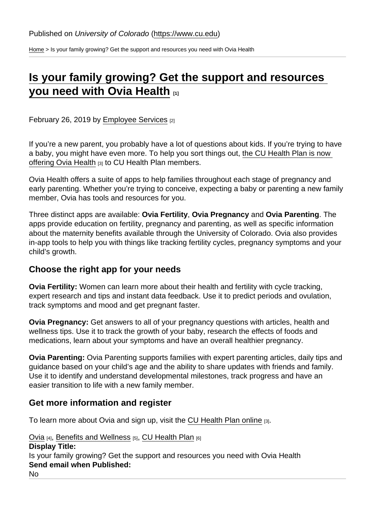[Home](https://www.cu.edu/) > Is your family growing? Get the support and resources you need with Ovia Health

## [Is your family growing? Get the support and resources](https://www.cu.edu/blog/work-life/your-family-growing-get-support-and-resources-you-need-ovia-health)  [you need with Ovia Health](https://www.cu.edu/blog/work-life/your-family-growing-get-support-and-resources-you-need-ovia-health) [1]

February 26, 2019 by [Employee Services](https://www.cu.edu/blog/work-life/author/10695) [2]

If you're a new parent, you probably have a lot of questions about kids. If you're trying to have a baby, you might have even more. To help you sort things out, [the CU Health Plan is now](https://www.becolorado.org/program/ovia-health/)  [offering Ovia Health](https://www.becolorado.org/program/ovia-health/) [3] to CU Health Plan members.

Ovia Health offers a suite of apps to help families throughout each stage of pregnancy and early parenting. Whether you're trying to conceive, expecting a baby or parenting a new family member, Ovia has tools and resources for you.

Three distinct apps are available: Ovia Fertility , Ovia Pregnancy and Ovia Parenting . The apps provide education on fertility, pregnancy and parenting, as well as specific information about the maternity benefits available through the University of Colorado. Ovia also provides in-app tools to help you with things like tracking fertility cycles, pregnancy symptoms and your child's growth.

## Choose the right app for your needs

Ovia Fertility: Women can learn more about their health and fertility with cycle tracking, expert research and tips and instant data feedback. Use it to predict periods and ovulation, track symptoms and mood and get pregnant faster.

Ovia Pregnancy: Get answers to all of your pregnancy questions with articles, health and wellness tips. Use it to track the growth of your baby, research the effects of foods and medications, learn about your symptoms and have an overall healthier pregnancy.

Ovia Parenting: Ovia Parenting supports families with expert parenting articles, daily tips and guidance based on your child's age and the ability to share updates with friends and family. Use it to identify and understand developmental milestones, track progress and have an easier transition to life with a new family member.

Get more information and register

To learn more about Ovia and sign up, visit the [CU Health Plan online](https://www.becolorado.org/program/ovia-health/) [3].

[Ovia](https://www.cu.edu/blog/work-life/tag/ovia) [4], [Benefits and Wellness](https://www.cu.edu/blog/work-life/tag/benefits-and-wellness) [5], [CU Health Plan](https://www.cu.edu/blog/work-life/tag/cu-health-plan) [6] Display Title: Is your family growing? Get the support and resources you need with Ovia Health Send email when Published: No